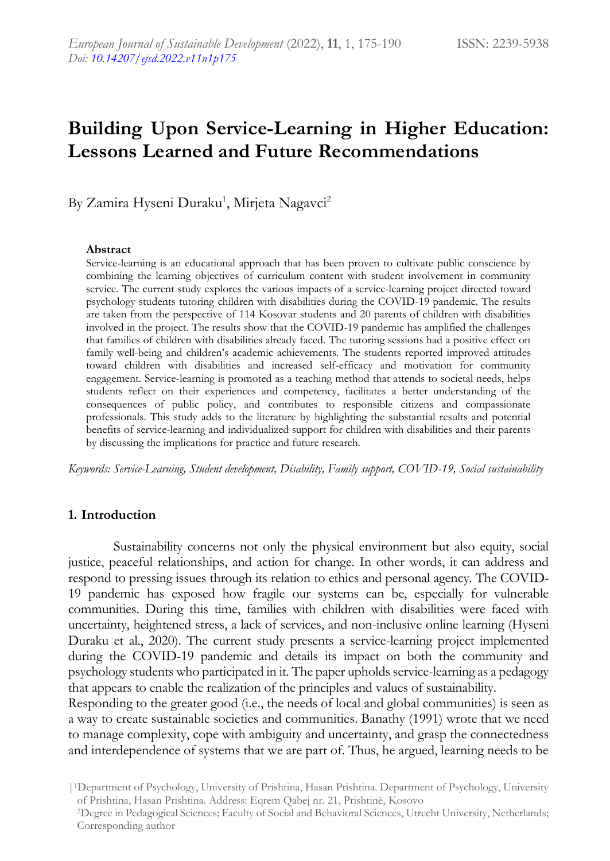# **Building Upon Service-Learning in Higher Education: Lessons Learned and Future Recommendations**

By Zamira Hyseni Duraku<sup>1</sup>, Mirjeta Nagavci<sup>2</sup>

#### **Abstract**

Service-learning is an educational approach that has been proven to cultivate public conscience by combining the learning objectives of curriculum content with student involvement in community service. The current study explores the various impacts of a service-learning project directed toward psychology students tutoring children with disabilities during the COVID-19 pandemic. The results are taken from the perspective of 114 Kosovar students and 20 parents of children with disabilities involved in the project. The results show that the COVID-19 pandemic has amplified the challenges that families of children with disabilities already faced. The tutoring sessions had a positive effect on family well-being and children's academic achievements. The students reported improved attitudes toward children with disabilities and increased self-efficacy and motivation for community engagement. Service-learning is promoted as a teaching method that attends to societal needs, helps students reflect on their experiences and competency, facilitates a better understanding of the consequences of public policy, and contributes to responsible citizens and compassionate professionals. This study adds to the literature by highlighting the substantial results and potential benefits of service-learning and individualized support for children with disabilities and their parents by discussing the implications for practice and future research.

*Keywords: Service-Learning, Student development, Disability, Family support, COVID-19, Social sustainability*

### **1. Introduction**

Sustainability concerns not only the physical environment but also equity, social justice, peaceful relationships, and action for change. In other words, it can address and respond to pressing issues through its relation to ethics and personal agency. The COVID-19 pandemic has exposed how fragile our systems can be, especially for vulnerable communities. During this time, families with children with disabilities were faced with uncertainty, heightened stress, a lack of services, and non-inclusive online learning (Hyseni Duraku et al., 2020). The current study presents a service-learning project implemented during the COVID-19 pandemic and details its impact on both the community and psychology students who participated in it. The paper upholds service-learning as a pedagogy that appears to enable the realization of the principles and values of sustainability.

Responding to the greater good (i.e., the needs of local and global communities) is seen as a way to create sustainable societies and communities. Banathy (1991) wrote that we need to manage complexity, cope with ambiguity and uncertainty, and grasp the connectedness and interdependence of systems that we are part of. Thus, he argued, learning needs to be

<sup>|</sup>1Department of Psychology, University of Prishtina, Hasan Prishtina. Department of Psychology, University of Prishtina, Hasan Prishtina. Address: Eqrem Qabej nr. 21, Prishtinë, Kosovo

<sup>2</sup>Degree in Pedagogical Sciences; Faculty of Social and Behavioral Sciences, Utrecht University, Netherlands; Corresponding author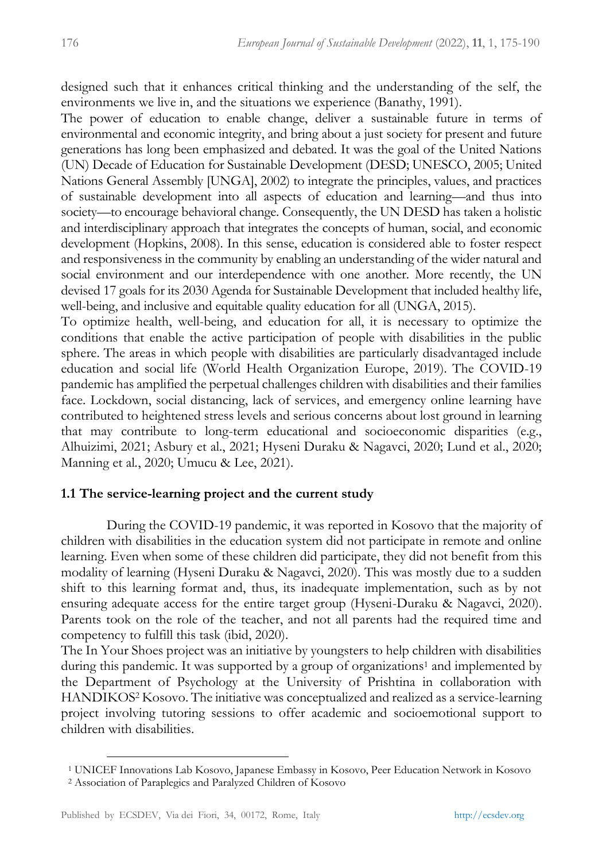designed such that it enhances critical thinking and the understanding of the self, the environments we live in, and the situations we experience (Banathy, 1991).

The power of education to enable change, deliver a sustainable future in terms of environmental and economic integrity, and bring about a just society for present and future generations has long been emphasized and debated. It was the goal of the United Nations (UN) Decade of Education for Sustainable Development (DESD; UNESCO, 2005; United Nations General Assembly [UNGA], 2002) to integrate the principles, values, and practices of sustainable development into all aspects of education and learning—and thus into society—to encourage behavioral change. Consequently, the UN DESD has taken a holistic and interdisciplinary approach that integrates the concepts of human, social, and economic development (Hopkins, 2008). In this sense, education is considered able to foster respect and responsiveness in the community by enabling an understanding of the wider natural and social environment and our interdependence with one another. More recently, the UN devised 17 goals for its 2030 Agenda for Sustainable Development that included healthy life, well-being, and inclusive and equitable quality education for all (UNGA, 2015).

To optimize health, well-being, and education for all, it is necessary to optimize the conditions that enable the active participation of people with disabilities in the public sphere. The areas in which people with disabilities are particularly disadvantaged include education and social life (World Health Organization Europe, 2019). The COVID-19 pandemic has amplified the perpetual challenges children with disabilities and their families face. Lockdown, social distancing, lack of services, and emergency online learning have contributed to heightened stress levels and serious concerns about lost ground in learning that may contribute to long-term educational and socioeconomic disparities (e.g., Alhuizimi, 2021; Asbury et al., 2021; Hyseni Duraku & Nagavci, 2020; Lund et al., 2020; Manning et al*.*, 2020; Umucu & Lee, 2021).

# **1.1 The service-learning project and the current study**

During the COVID-19 pandemic, it was reported in Kosovo that the majority of children with disabilities in the education system did not participate in remote and online learning. Even when some of these children did participate, they did not benefit from this modality of learning (Hyseni Duraku & Nagavci, 2020). This was mostly due to a sudden shift to this learning format and, thus, its inadequate implementation, such as by not ensuring adequate access for the entire target group (Hyseni-Duraku & Nagavci, 2020). Parents took on the role of the teacher, and not all parents had the required time and competency to fulfill this task (ibid, 2020).

The In Your Shoes project was an initiative by youngsters to help children with disabilities during this pandemic. It was supported by a group of organizations<sup>1</sup> and implemented by the Department of Psychology at the University of Prishtina in collaboration with HANDIKOS<sup>2</sup> Kosovo. The initiative was conceptualized and realized as a service-learning project involving tutoring sessions to offer academic and socioemotional support to children with disabilities.

<sup>1</sup> UNICEF Innovations Lab Kosovo, Japanese Embassy in Kosovo, Peer Education Network in Kosovo

<sup>2</sup> Association of Paraplegics and Paralyzed Children of Kosovo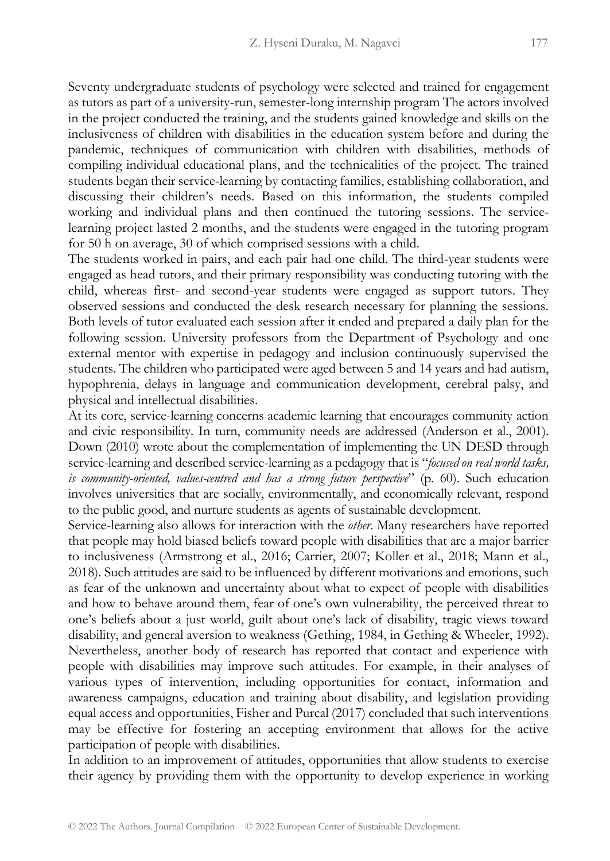Seventy undergraduate students of psychology were selected and trained for engagement as tutors as part of a university-run, semester-long internship program The actors involved in the project conducted the training, and the students gained knowledge and skills on the inclusiveness of children with disabilities in the education system before and during the pandemic, techniques of communication with children with disabilities, methods of compiling individual educational plans, and the technicalities of the project. The trained students began their service-learning by contacting families, establishing collaboration, and discussing their children's needs. Based on this information, the students compiled working and individual plans and then continued the tutoring sessions. The servicelearning project lasted 2 months, and the students were engaged in the tutoring program for 50 h on average, 30 of which comprised sessions with a child.

The students worked in pairs, and each pair had one child. The third-year students were engaged as head tutors, and their primary responsibility was conducting tutoring with the child, whereas first- and second-year students were engaged as support tutors. They observed sessions and conducted the desk research necessary for planning the sessions. Both levels of tutor evaluated each session after it ended and prepared a daily plan for the following session. University professors from the Department of Psychology and one external mentor with expertise in pedagogy and inclusion continuously supervised the students. The children who participated were aged between 5 and 14 years and had autism, hypophrenia, delays in language and communication development, cerebral palsy, and physical and intellectual disabilities.

At its core, service-learning concerns academic learning that encourages community action and civic responsibility. In turn, community needs are addressed (Anderson et al., 2001). Down (2010) wrote about the complementation of implementing the UN DESD through service-learning and described service-learning as a pedagogy that is "*focused on real world tasks, is community-oriented, values-centred and has a strong future perspective*" (p. 60). Such education involves universities that are socially, environmentally, and economically relevant, respond to the public good, and nurture students as agents of sustainable development.

Service-learning also allows for interaction with the *other*. Many researchers have reported that people may hold biased beliefs toward people with disabilities that are a major barrier to inclusiveness (Armstrong et al., 2016; Carrier, 2007; Koller et al., 2018; Mann et al., 2018). Such attitudes are said to be influenced by different motivations and emotions, such as fear of the unknown and uncertainty about what to expect of people with disabilities and how to behave around them, fear of one's own vulnerability, the perceived threat to one's beliefs about a just world, guilt about one's lack of disability, tragic views toward disability, and general aversion to weakness (Gething, 1984, in Gething & Wheeler, 1992). Nevertheless, another body of research has reported that contact and experience with people with disabilities may improve such attitudes. For example, in their analyses of various types of intervention, including opportunities for contact, information and awareness campaigns, education and training about disability, and legislation providing equal access and opportunities, Fisher and Purcal (2017) concluded that such interventions may be effective for fostering an accepting environment that allows for the active participation of people with disabilities.

In addition to an improvement of attitudes, opportunities that allow students to exercise their agency by providing them with the opportunity to develop experience in working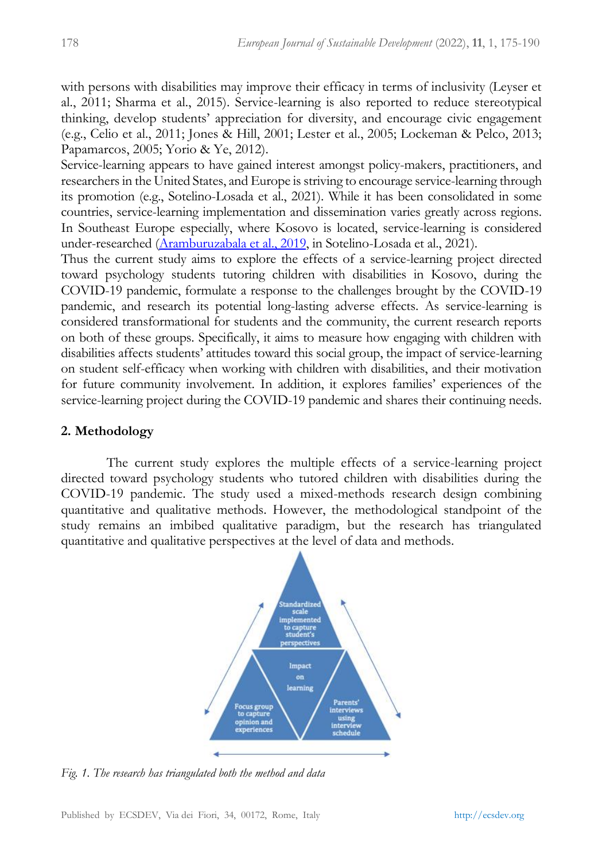with persons with disabilities may improve their efficacy in terms of inclusivity (Leyser et al., 2011; Sharma et al., 2015). Service-learning is also reported to reduce stereotypical thinking, develop students' appreciation for diversity, and encourage civic engagement (e.g., Celio et al., 2011; Jones & Hill, 2001; Lester et al., 2005; Lockeman & Pelco, 2013; Papamarcos, 2005; Yorio & Ye, 2012).

Service-learning appears to have gained interest amongst policy-makers, practitioners, and researchers in the United States, and Europe is striving to encourage service-learning through its promotion (e.g., Sotelino-Losada et al., 2021). While it has been consolidated in some countries, service-learning implementation and dissemination varies greatly across regions. In Southeast Europe especially, where Kosovo is located, service-learning is considered under-researched [\(Aramburuzabala et al., 2019,](https://www.frontiersin.org/articles/10.3389/feduc.2021.604825/full#B5) in Sotelino-Losada et al., 2021).

Thus the current study aims to explore the effects of a service-learning project directed toward psychology students tutoring children with disabilities in Kosovo, during the COVID-19 pandemic, formulate a response to the challenges brought by the COVID-19 pandemic, and research its potential long-lasting adverse effects. As service-learning is considered transformational for students and the community, the current research reports on both of these groups. Specifically, it aims to measure how engaging with children with disabilities affects students' attitudes toward this social group, the impact of service-learning on student self-efficacy when working with children with disabilities, and their motivation for future community involvement. In addition, it explores families' experiences of the service-learning project during the COVID-19 pandemic and shares their continuing needs.

### **2. Methodology**

The current study explores the multiple effects of a service-learning project directed toward psychology students who tutored children with disabilities during the COVID-19 pandemic. The study used a mixed-methods research design combining quantitative and qualitative methods. However, the methodological standpoint of the study remains an imbibed qualitative paradigm, but the research has triangulated quantitative and qualitative perspectives at the level of data and methods.



*Fig. 1. The research has triangulated both the method and data*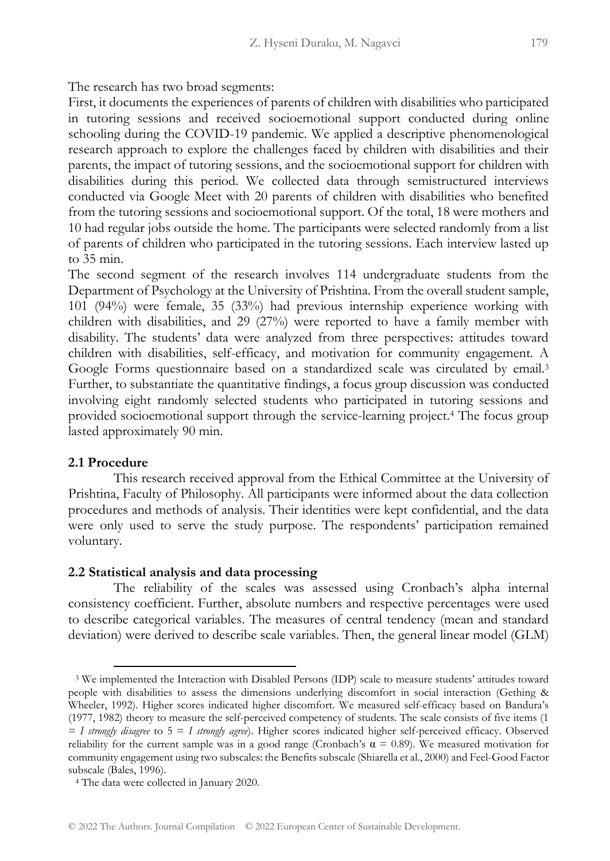The research has two broad segments:

First, it documents the experiences of parents of children with disabilities who participated in tutoring sessions and received socioemotional support conducted during online schooling during the COVID-19 pandemic. We applied a descriptive phenomenological research approach to explore the challenges faced by children with disabilities and their parents, the impact of tutoring sessions, and the socioemotional support for children with disabilities during this period. We collected data through semistructured interviews conducted via Google Meet with 20 parents of children with disabilities who benefited from the tutoring sessions and socioemotional support. Of the total, 18 were mothers and 10 had regular jobs outside the home. The participants were selected randomly from a list of parents of children who participated in the tutoring sessions. Each interview lasted up to 35 min.

The second segment of the research involves 114 undergraduate students from the Department of Psychology at the University of Prishtina. From the overall student sample, 101 (94%) were female, 35 (33%) had previous internship experience working with children with disabilities, and 29 (27%) were reported to have a family member with disability. The students' data were analyzed from three perspectives: attitudes toward children with disabilities, self-efficacy, and motivation for community engagement. A Google Forms questionnaire based on a standardized scale was circulated by email.<sup>3</sup> Further, to substantiate the quantitative findings, a focus group discussion was conducted involving eight randomly selected students who participated in tutoring sessions and provided socioemotional support through the service-learning project.<sup>4</sup> The focus group lasted approximately 90 min.

#### **2.1 Procedure**

This research received approval from the Ethical Committee at the University of Prishtina, Faculty of Philosophy. All participants were informed about the data collection procedures and methods of analysis. Their identities were kept confidential, and the data were only used to serve the study purpose. The respondents' participation remained voluntary.

#### **2.2 Statistical analysis and data processing**

The reliability of the scales was assessed using Cronbach's alpha internal consistency coefficient. Further, absolute numbers and respective percentages were used to describe categorical variables. The measures of central tendency (mean and standard deviation) were derived to describe scale variables. Then, the general linear model (GLM)

<sup>3</sup> We implemented the Interaction with Disabled Persons (IDP) scale to measure students' attitudes toward people with disabilities to assess the dimensions underlying discomfort in social interaction (Gething & Wheeler, 1992). Higher scores indicated higher discomfort. We measured self-efficacy based on Bandura's (1977, 1982) theory to measure the self-perceived competency of students. The scale consists of five items (1 = *I strongly disagree* to 5 = *I strongly agree*). Higher scores indicated higher self-perceived efficacy. Observed reliability for the current sample was in a good range (Cronbach's  $\alpha = 0.89$ ). We measured motivation for community engagement using two subscales: the Benefits subscale (Shiarella et al., 2000) and Feel-Good Factor subscale (Bales, 1996).

<sup>4</sup> The data were collected in January 2020.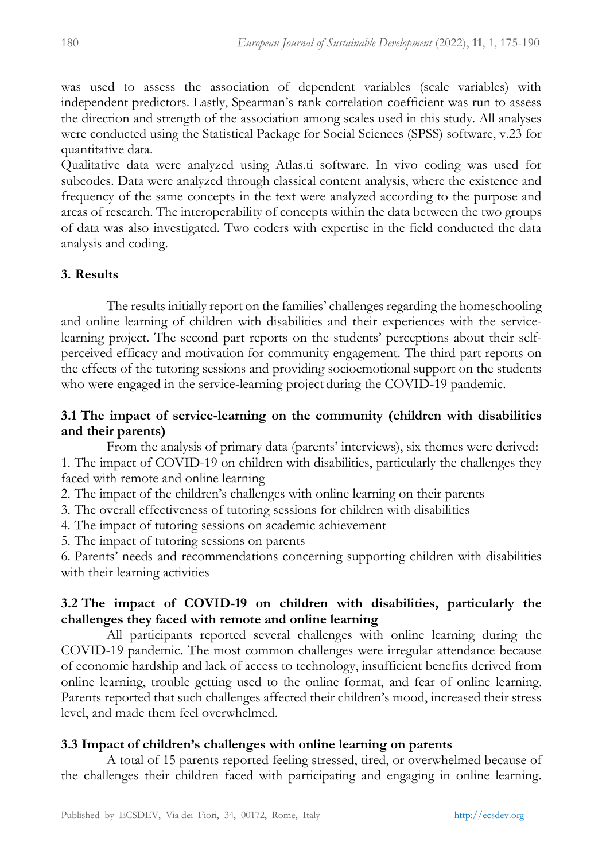was used to assess the association of dependent variables (scale variables) with independent predictors. Lastly, Spearman's rank correlation coefficient was run to assess the direction and strength of the association among scales used in this study. All analyses were conducted using the Statistical Package for Social Sciences (SPSS) software, v.23 for quantitative data.

Qualitative data were analyzed using Atlas.ti software. In vivo coding was used for subcodes. Data were analyzed through classical content analysis, where the existence and frequency of the same concepts in the text were analyzed according to the purpose and areas of research. The interoperability of concepts within the data between the two groups of data was also investigated. Two coders with expertise in the field conducted the data analysis and coding.

# **3. Results**

The results initially report on the families' challenges regarding the homeschooling and online learning of children with disabilities and their experiences with the servicelearning project. The second part reports on the students' perceptions about their selfperceived efficacy and motivation for community engagement. The third part reports on the effects of the tutoring sessions and providing socioemotional support on the students who were engaged in the service-learning project during the COVID-19 pandemic.

# **3.1 The impact of service-learning on the community (children with disabilities and their parents)**

From the analysis of primary data (parents' interviews), six themes were derived: 1. The impact of COVID-19 on children with disabilities, particularly the challenges they faced with remote and online learning

2. The impact of the children's challenges with online learning on their parents

3. The overall effectiveness of tutoring sessions for children with disabilities

4. The impact of tutoring sessions on academic achievement

5. The impact of tutoring sessions on parents

6. Parents' needs and recommendations concerning supporting children with disabilities with their learning activities

# **3.2 The impact of COVID-19 on children with disabilities, particularly the challenges they faced with remote and online learning**

All participants reported several challenges with online learning during the COVID-19 pandemic. The most common challenges were irregular attendance because of economic hardship and lack of access to technology, insufficient benefits derived from online learning, trouble getting used to the online format, and fear of online learning. Parents reported that such challenges affected their children's mood, increased their stress level, and made them feel overwhelmed.

# **3.3 Impact of children's challenges with online learning on parents**

A total of 15 parents reported feeling stressed, tired, or overwhelmed because of the challenges their children faced with participating and engaging in online learning.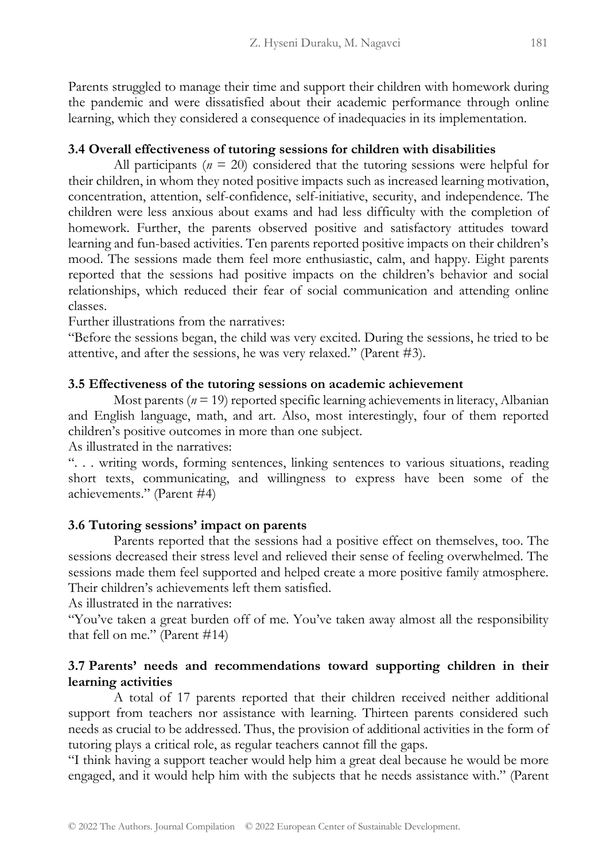Parents struggled to manage their time and support their children with homework during the pandemic and were dissatisfied about their academic performance through online learning, which they considered a consequence of inadequacies in its implementation.

# **3.4 Overall effectiveness of tutoring sessions for children with disabilities**

All participants ( $n = 20$ ) considered that the tutoring sessions were helpful for their children, in whom they noted positive impacts such as increased learning motivation, concentration, attention, self-confidence, self-initiative, security, and independence. The children were less anxious about exams and had less difficulty with the completion of homework. Further, the parents observed positive and satisfactory attitudes toward learning and fun-based activities. Ten parents reported positive impacts on their children's mood. The sessions made them feel more enthusiastic, calm, and happy. Eight parents reported that the sessions had positive impacts on the children's behavior and social relationships, which reduced their fear of social communication and attending online classes.

Further illustrations from the narratives:

"Before the sessions began, the child was very excited. During the sessions, he tried to be attentive, and after the sessions, he was very relaxed." (Parent #3).

### **3.5 Effectiveness of the tutoring sessions on academic achievement**

Most parents ( $n = 19$ ) reported specific learning achievements in literacy, Albanian and English language, math, and art. Also, most interestingly, four of them reported children's positive outcomes in more than one subject.

As illustrated in the narratives:

". . . writing words, forming sentences, linking sentences to various situations, reading short texts, communicating, and willingness to express have been some of the achievements." (Parent #4)

### **3.6 Tutoring sessions' impact on parents**

Parents reported that the sessions had a positive effect on themselves, too. The sessions decreased their stress level and relieved their sense of feeling overwhelmed. The sessions made them feel supported and helped create a more positive family atmosphere. Their children's achievements left them satisfied.

As illustrated in the narratives:

"You've taken a great burden off of me. You've taken away almost all the responsibility that fell on me." (Parent #14)

# **3.7 Parents' needs and recommendations toward supporting children in their learning activities**

A total of 17 parents reported that their children received neither additional support from teachers nor assistance with learning. Thirteen parents considered such needs as crucial to be addressed. Thus, the provision of additional activities in the form of tutoring plays a critical role, as regular teachers cannot fill the gaps.

"I think having a support teacher would help him a great deal because he would be more engaged, and it would help him with the subjects that he needs assistance with." (Parent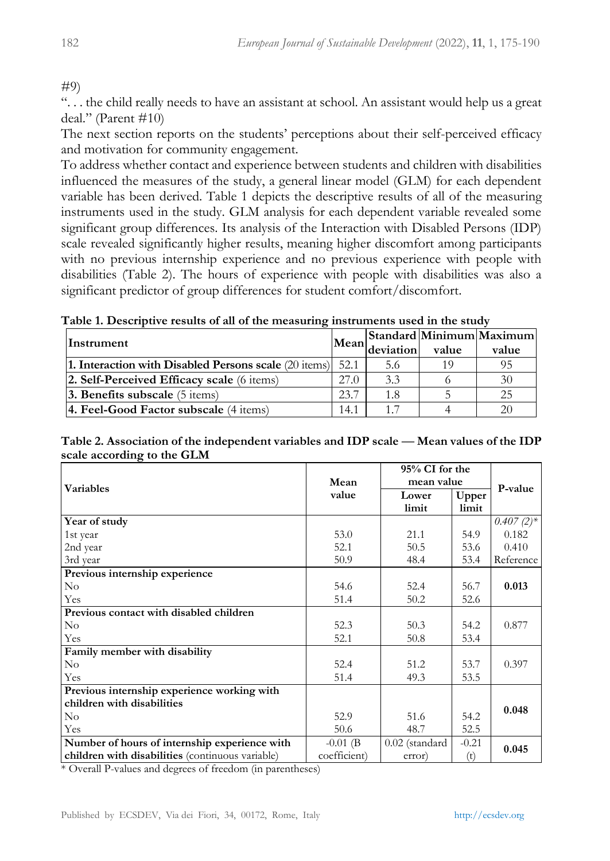# #9)

". . . the child really needs to have an assistant at school. An assistant would help us a great deal." (Parent #10)

The next section reports on the students' perceptions about their self-perceived efficacy and motivation for community engagement.

To address whether contact and experience between students and children with disabilities influenced the measures of the study, a general linear model (GLM) for each dependent variable has been derived. Table 1 depicts the descriptive results of all of the measuring instruments used in the study. GLM analysis for each dependent variable revealed some significant group differences. Its analysis of the Interaction with Disabled Persons (IDP) scale revealed significantly higher results, meaning higher discomfort among participants with no previous internship experience and no previous experience with people with disabilities (Table 2). The hours of experience with people with disabilities was also a significant predictor of group differences for student comfort/discomfort.

| Table 1. Descriptive results of all of the measuring instruments used in the study |  |  |
|------------------------------------------------------------------------------------|--|--|
|------------------------------------------------------------------------------------|--|--|

| Instrument                                                           | Mean | deviation | value | Standard Minimum Maximum<br>value |
|----------------------------------------------------------------------|------|-----------|-------|-----------------------------------|
| 1. Interaction with Disabled Persons scale $(20 \text{ items})$ 52.1 |      | 5.6       | 10    | 95                                |
| 2. Self-Perceived Efficacy scale (6 items)                           | 27.0 | 3.3       |       | 30                                |
| <b>3. Benefits subscale</b> $(5 \text{ items})$                      | 23.7 | 1.8       |       | 25                                |
| 4. Feel-Good Factor subscale (4 items)                               | 14.1 | 1.7       |       | 20                                |

| Table 2. Association of the independent variables and IDP scale — Mean values of the IDP |  |
|------------------------------------------------------------------------------------------|--|
| scale according to the GLM                                                               |  |

|                                                  |              | 95% CI for the   |         | P-value      |
|--------------------------------------------------|--------------|------------------|---------|--------------|
| <b>Variables</b>                                 | Mean         | mean value       |         |              |
|                                                  | value        | Lower            | Upper   |              |
|                                                  |              | limit            | limit   |              |
| Year of study                                    |              |                  |         | $0.407(2)$ * |
| 1st year                                         | 53.0         | 21.1             | 54.9    | 0.182        |
| 2nd year                                         | 52.1         | 50.5             | 53.6    | 0.410        |
| 3rd year                                         | 50.9         | 48.4             | 53.4    | Reference    |
| Previous internship experience                   |              |                  |         |              |
| $\rm No$                                         | 54.6         | 52.4             | 56.7    | 0.013        |
| Yes                                              | 51.4         | 50.2             | 52.6    |              |
| Previous contact with disabled children          |              |                  |         |              |
| No                                               | 52.3         | 50.3             | 54.2    | 0.877        |
| Yes                                              | 52.1         | 50.8             | 53.4    |              |
| Family member with disability                    |              |                  |         |              |
| $\rm No$                                         | 52.4         | 51.2             | 53.7    | 0.397        |
| Yes                                              | 51.4         | 49.3             | 53.5    |              |
| Previous internship experience working with      |              |                  |         |              |
| children with disabilities                       |              |                  |         | 0.048        |
| $\rm No$                                         | 52.9         | 51.6             | 54.2    |              |
| Yes                                              | 50.6         | 48.7             | 52.5    |              |
| Number of hours of internship experience with    | $-0.01$ (B   | $0.02$ (standard | $-0.21$ | 0.045        |
| children with disabilities (continuous variable) | coefficient) | error)           | (t)     |              |

\* Overall P-values and degrees of freedom (in parentheses)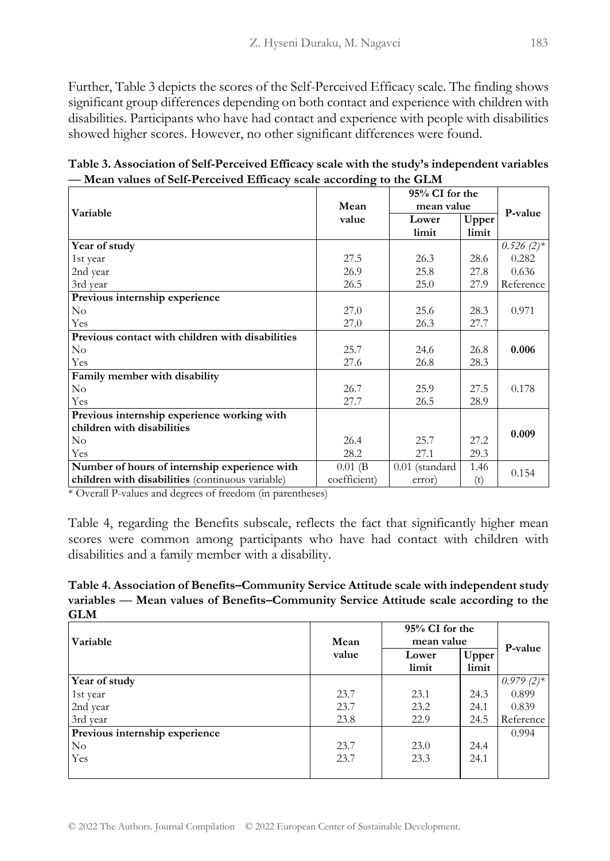Further, Table 3 depicts the scores of the Self-Perceived Efficacy scale. The finding shows significant group differences depending on both contact and experience with children with disabilities. Participants who have had contact and experience with people with disabilities showed higher scores. However, no other significant differences were found.

**Table 3. Association of Self-Perceived Efficacy scale with the study's independent variables ⸺ Mean values of Self-Perceived Efficacy scale according to the GLM**

|                                                  |              | 95% CI for the |       | P-value      |
|--------------------------------------------------|--------------|----------------|-------|--------------|
| Variable                                         | Mean         | mean value     |       |              |
|                                                  | value        | Lower          | Upper |              |
|                                                  |              | limit          | limit |              |
| Year of study                                    |              |                |       | $0.526(2)$ * |
| 1st year                                         | 27.5         | 26.3           | 28.6  | 0.282        |
| 2nd year                                         | 26.9         | 25.8           | 27.8  | 0.636        |
| 3rd year                                         | 26.5         | 25.0           | 27.9  | Reference    |
| Previous internship experience                   |              |                |       |              |
| $\rm No$                                         | 27.0         | 25.6           | 28.3  | 0.971        |
| Yes                                              | 27.0         | 26.3           | 27.7  |              |
| Previous contact with children with disabilities |              |                |       |              |
| $\rm No$                                         | 25.7         | 24.6           | 26.8  | 0.006        |
| Yes                                              | 27.6         | 26.8           | 28.3  |              |
| Family member with disability                    |              |                |       |              |
| $\rm No$                                         | 26.7         | 25.9           | 27.5  | 0.178        |
| Yes                                              | 27.7         | 26.5           | 28.9  |              |
| Previous internship experience working with      |              |                |       |              |
| children with disabilities                       |              |                |       | 0.009        |
| $\rm No$                                         | 26.4         | 25.7           | 27.2  |              |
| Yes                                              | 28.2         | 27.1           | 29.3  |              |
| Number of hours of internship experience with    | $0.01$ (B)   | 0.01 (standard | 1.46  | 0.154        |
| children with disabilities (continuous variable) | coefficient) | error)         | (t)   |              |

\* Overall P-values and degrees of freedom (in parentheses)

Table 4, regarding the Benefits subscale, reflects the fact that significantly higher mean scores were common among participants who have had contact with children with disabilities and a family member with a disability.

**Table 4. Association of Benefits–Community Service Attitude scale with independent study variables ⸺ Mean values of Benefits–Community Service Attitude scale according to the GLM**

| Variable                       | Mean  | 95% CI for the<br>mean value |                |              |
|--------------------------------|-------|------------------------------|----------------|--------------|
|                                | value | Lower<br>limit               | Upper<br>limit | P-value      |
| Year of study                  |       |                              |                | $0.979(2)$ * |
| 1st year                       | 23.7  | 23.1                         | 24.3           | 0.899        |
| 2nd year                       | 23.7  | 23.2                         | 24.1           | 0.839        |
| 3rd year                       | 23.8  | 22.9                         | 24.5           | Reference    |
| Previous internship experience |       |                              |                | 0.994        |
| N <sub>o</sub>                 | 23.7  | 23.0                         | 24.4           |              |
| Yes                            | 23.7  | 23.3                         | 24.1           |              |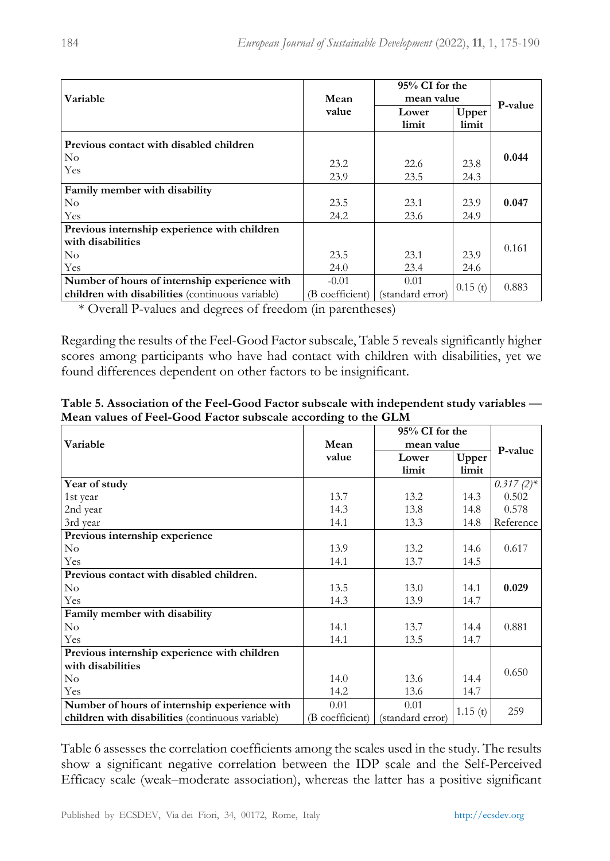| Variable                                         | Mean            | 95% CI for the<br>mean value |                |         |
|--------------------------------------------------|-----------------|------------------------------|----------------|---------|
|                                                  | value           | Lower<br>limit               | Upper<br>limit | P-value |
| Previous contact with disabled children          |                 |                              |                |         |
| $\rm No$<br>Yes                                  | 23.2<br>23.9    | 22.6<br>23.5                 | 23.8<br>24.3   | 0.044   |
| Family member with disability                    |                 |                              |                |         |
| $\rm No$                                         | 23.5            | 23.1                         | 23.9           | 0.047   |
| Yes                                              | 24.2            | 23.6                         | 24.9           |         |
| Previous internship experience with children     |                 |                              |                |         |
| with disabilities                                |                 |                              |                | 0.161   |
| $\rm No$                                         | 23.5            | 23.1                         | 23.9           |         |
| Yes                                              | 24.0            | 23.4                         | 24.6           |         |
| Number of hours of internship experience with    | $-0.01$         | 0.01                         | 0.15(t)        | 0.883   |
| children with disabilities (continuous variable) | (B coefficient) | (standard error)             |                |         |

\* Overall P-values and degrees of freedom (in parentheses)

Regarding the results of the Feel-Good Factor subscale, Table 5 reveals significantly higher scores among participants who have had contact with children with disabilities, yet we found differences dependent on other factors to be insignificant.

|                                                  |                 | 95% CI for the   |         | P-value      |
|--------------------------------------------------|-----------------|------------------|---------|--------------|
| Variable                                         | Mean            | mean value       |         |              |
|                                                  | value           | Lower            | Upper   |              |
|                                                  |                 | limit            | limit   |              |
| Year of study                                    |                 |                  |         | $0.317(2)$ * |
| 1st year                                         | 13.7            | 13.2             | 14.3    | 0.502        |
| 2nd year                                         | 14.3            | 13.8             | 14.8    | 0.578        |
| 3rd year                                         | 14.1            | 13.3             | 14.8    | Reference    |
| Previous internship experience                   |                 |                  |         |              |
| $\rm No$                                         | 13.9            | 13.2             | 14.6    | 0.617        |
| Yes                                              | 14.1            | 13.7             | 14.5    |              |
| Previous contact with disabled children.         |                 |                  |         |              |
| $\rm No$                                         | 13.5            | 13.0             | 14.1    | 0.029        |
| Yes                                              | 14.3            | 13.9             | 14.7    |              |
| Family member with disability                    |                 |                  |         |              |
| $\rm No$                                         | 14.1            | 13.7             | 14.4    | 0.881        |
| Yes                                              | 14.1            | 13.5             | 14.7    |              |
| Previous internship experience with children     |                 |                  |         |              |
| with disabilities                                |                 |                  |         | 0.650        |
| $\rm No$                                         | 14.0            | 13.6             | 14.4    |              |
| Yes                                              | 14.2            | 13.6             | 14.7    |              |
| Number of hours of internship experience with    | 0.01            | 0.01             |         | 259          |
| children with disabilities (continuous variable) | (B coefficient) | (standard error) | 1.15(t) |              |

**Table 5. Association of the Feel-Good Factor subscale with independent study variables ⸺ Mean values of Feel-Good Factor subscale according to the GLM**

Table 6 assesses the correlation coefficients among the scales used in the study. The results show a significant negative correlation between the IDP scale and the Self-Perceived Efficacy scale (weak–moderate association), whereas the latter has a positive significant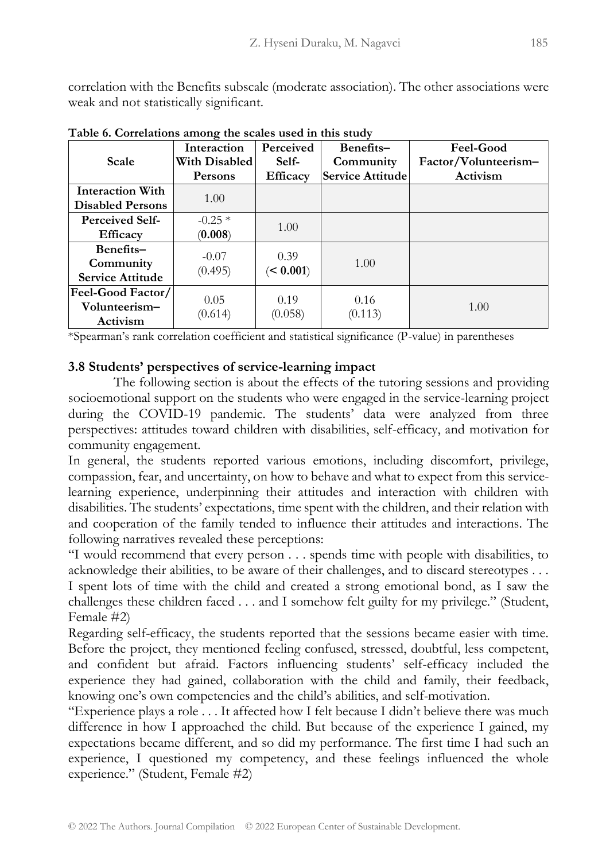correlation with the Benefits subscale (moderate association). The other associations were weak and not statistically significant.

|                         | Interaction          | <b>Perceived</b> | Benefits-        | <b>Feel-Good</b>     |
|-------------------------|----------------------|------------------|------------------|----------------------|
| Scale                   | <b>With Disabled</b> | Self-            | Community        | Factor/Volunteerism- |
|                         | <b>Persons</b>       | <b>Efficacy</b>  | Service Attitude | Activism             |
| <b>Interaction With</b> | 1.00                 |                  |                  |                      |
| <b>Disabled Persons</b> |                      |                  |                  |                      |
| <b>Perceived Self-</b>  | $-0.25*$             |                  |                  |                      |
| <b>Efficacy</b>         | (0.008)              | 1.00             |                  |                      |
| Benefits-               | $-0.07$              | 0.39             |                  |                      |
| Community               | (0.495)              | (< 0.001)        | 1.00             |                      |
| <b>Service Attitude</b> |                      |                  |                  |                      |
| Feel-Good Factor/       | 0.05                 | 0.19             | 0.16             |                      |
| Volunteerism-           |                      |                  |                  | 1.00                 |
| Activism                | (0.614)              | (0.058)          | (0.113)          |                      |

**Table 6. Correlations among the scales used in this study**

\*Spearman's rank correlation coefficient and statistical significance (P-value) in parentheses

### **3.8 Students' perspectives of service-learning impact**

The following section is about the effects of the tutoring sessions and providing socioemotional support on the students who were engaged in the service-learning project during the COVID-19 pandemic. The students' data were analyzed from three perspectives: attitudes toward children with disabilities, self-efficacy, and motivation for community engagement.

In general, the students reported various emotions, including discomfort, privilege, compassion, fear, and uncertainty, on how to behave and what to expect from this servicelearning experience, underpinning their attitudes and interaction with children with disabilities. The students' expectations, time spent with the children, and their relation with and cooperation of the family tended to influence their attitudes and interactions. The following narratives revealed these perceptions:

"I would recommend that every person . . . spends time with people with disabilities, to acknowledge their abilities, to be aware of their challenges, and to discard stereotypes . . . I spent lots of time with the child and created a strong emotional bond, as I saw the challenges these children faced . . . and I somehow felt guilty for my privilege." (Student, Female #2)

Regarding self-efficacy, the students reported that the sessions became easier with time. Before the project, they mentioned feeling confused, stressed, doubtful, less competent, and confident but afraid. Factors influencing students' self-efficacy included the experience they had gained, collaboration with the child and family, their feedback, knowing one's own competencies and the child's abilities, and self-motivation.

"Experience plays a role . . . It affected how I felt because I didn't believe there was much difference in how I approached the child. But because of the experience I gained, my expectations became different, and so did my performance. The first time I had such an experience, I questioned my competency, and these feelings influenced the whole experience." (Student, Female #2)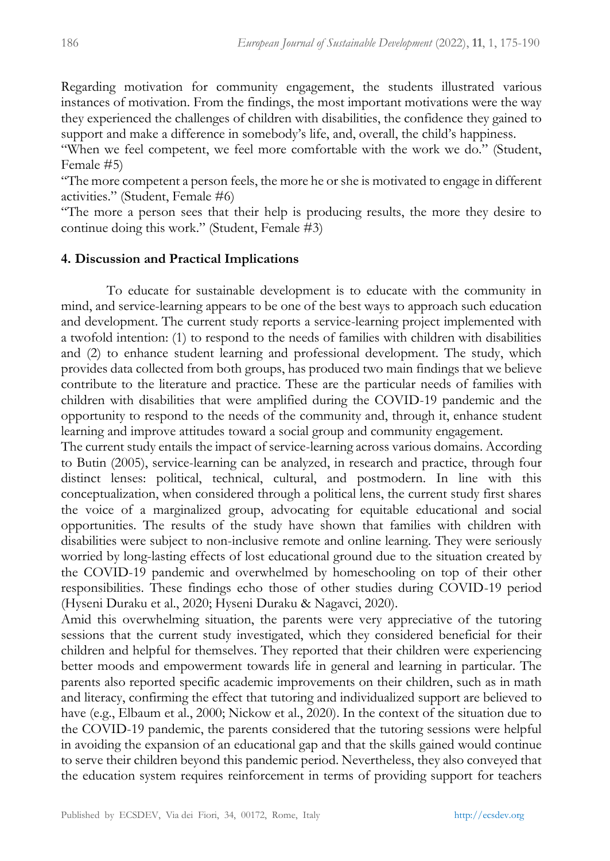Regarding motivation for community engagement, the students illustrated various instances of motivation. From the findings, the most important motivations were the way they experienced the challenges of children with disabilities, the confidence they gained to support and make a difference in somebody's life, and, overall, the child's happiness.

"When we feel competent, we feel more comfortable with the work we do." (Student, Female #5)

"The more competent a person feels, the more he or she is motivated to engage in different activities." (Student, Female #6)

"The more a person sees that their help is producing results, the more they desire to continue doing this work." (Student, Female #3)

### **4. Discussion and Practical Implications**

To educate for sustainable development is to educate with the community in mind, and service-learning appears to be one of the best ways to approach such education and development. The current study reports a service-learning project implemented with a twofold intention: (1) to respond to the needs of families with children with disabilities and (2) to enhance student learning and professional development. The study, which provides data collected from both groups, has produced two main findings that we believe contribute to the literature and practice. These are the particular needs of families with children with disabilities that were amplified during the COVID-19 pandemic and the opportunity to respond to the needs of the community and, through it, enhance student learning and improve attitudes toward a social group and community engagement.

The current study entails the impact of service-learning across various domains. According to Butin (2005), service-learning can be analyzed, in research and practice, through four distinct lenses: political, technical, cultural, and postmodern. In line with this conceptualization, when considered through a political lens, the current study first shares the voice of a marginalized group, advocating for equitable educational and social opportunities. The results of the study have shown that families with children with disabilities were subject to non-inclusive remote and online learning. They were seriously worried by long-lasting effects of lost educational ground due to the situation created by the COVID-19 pandemic and overwhelmed by homeschooling on top of their other responsibilities. These findings echo those of other studies during COVID-19 period (Hyseni Duraku et al., 2020; Hyseni Duraku & Nagavci, 2020).

Amid this overwhelming situation, the parents were very appreciative of the tutoring sessions that the current study investigated, which they considered beneficial for their children and helpful for themselves. They reported that their children were experiencing better moods and empowerment towards life in general and learning in particular. The parents also reported specific academic improvements on their children, such as in math and literacy, confirming the effect that tutoring and individualized support are believed to have (e.g., Elbaum et al., 2000; Nickow et al., 2020). In the context of the situation due to the COVID-19 pandemic, the parents considered that the tutoring sessions were helpful in avoiding the expansion of an educational gap and that the skills gained would continue to serve their children beyond this pandemic period. Nevertheless, they also conveyed that the education system requires reinforcement in terms of providing support for teachers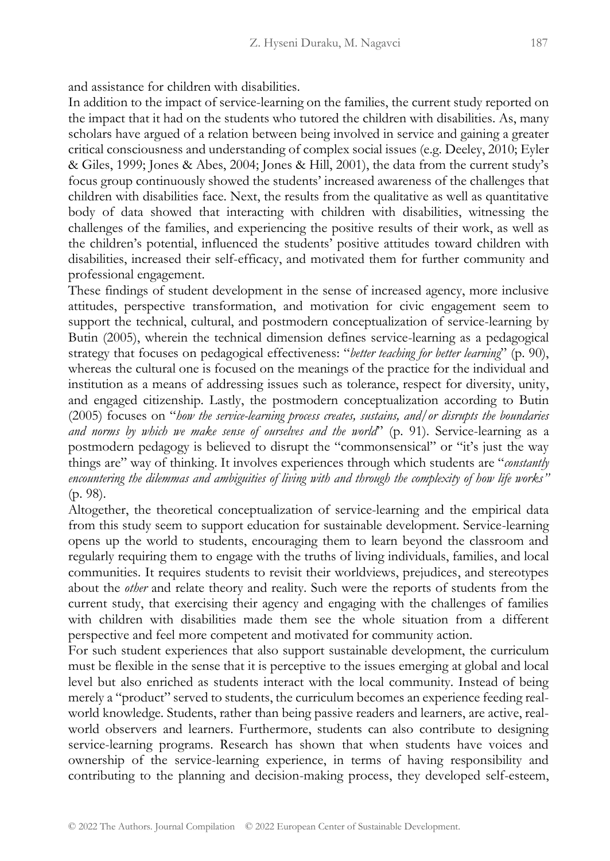and assistance for children with disabilities.

In addition to the impact of service-learning on the families, the current study reported on the impact that it had on the students who tutored the children with disabilities. As, many scholars have argued of a relation between being involved in service and gaining a greater critical consciousness and understanding of complex social issues (e.g. Deeley, 2010; Eyler & Giles, 1999; Jones & Abes, 2004; Jones & Hill, 2001), the data from the current study's focus group continuously showed the students' increased awareness of the challenges that children with disabilities face. Next, the results from the qualitative as well as quantitative body of data showed that interacting with children with disabilities, witnessing the challenges of the families, and experiencing the positive results of their work, as well as the children's potential, influenced the students' positive attitudes toward children with disabilities, increased their self-efficacy, and motivated them for further community and professional engagement.

These findings of student development in the sense of increased agency, more inclusive attitudes, perspective transformation, and motivation for civic engagement seem to support the technical, cultural, and postmodern conceptualization of service-learning by Butin (2005), wherein the technical dimension defines service-learning as a pedagogical strategy that focuses on pedagogical effectiveness: "*better teaching for better learning*" (p. 90), whereas the cultural one is focused on the meanings of the practice for the individual and institution as a means of addressing issues such as tolerance, respect for diversity, unity, and engaged citizenship. Lastly, the postmodern conceptualization according to Butin (2005) focuses on "*how the service-learning process creates, sustains, and/or disrupts the boundaries and norms by which we make sense of ourselves and the world*" (p. 91). Service-learning as a postmodern pedagogy is believed to disrupt the "commonsensical" or "it's just the way things are" way of thinking. It involves experiences through which students are "*constantly encountering the dilemmas and ambiguities of living with and through the complexity of how life works"* (p. 98).

Altogether, the theoretical conceptualization of service-learning and the empirical data from this study seem to support education for sustainable development. Service-learning opens up the world to students, encouraging them to learn beyond the classroom and regularly requiring them to engage with the truths of living individuals, families, and local communities. It requires students to revisit their worldviews, prejudices, and stereotypes about the *other* and relate theory and reality. Such were the reports of students from the current study, that exercising their agency and engaging with the challenges of families with children with disabilities made them see the whole situation from a different perspective and feel more competent and motivated for community action.

For such student experiences that also support sustainable development, the curriculum must be flexible in the sense that it is perceptive to the issues emerging at global and local level but also enriched as students interact with the local community. Instead of being merely a "product" served to students, the curriculum becomes an experience feeding realworld knowledge. Students, rather than being passive readers and learners, are active, realworld observers and learners. Furthermore, students can also contribute to designing service-learning programs. Research has shown that when students have voices and ownership of the service-learning experience, in terms of having responsibility and contributing to the planning and decision-making process, they developed self-esteem,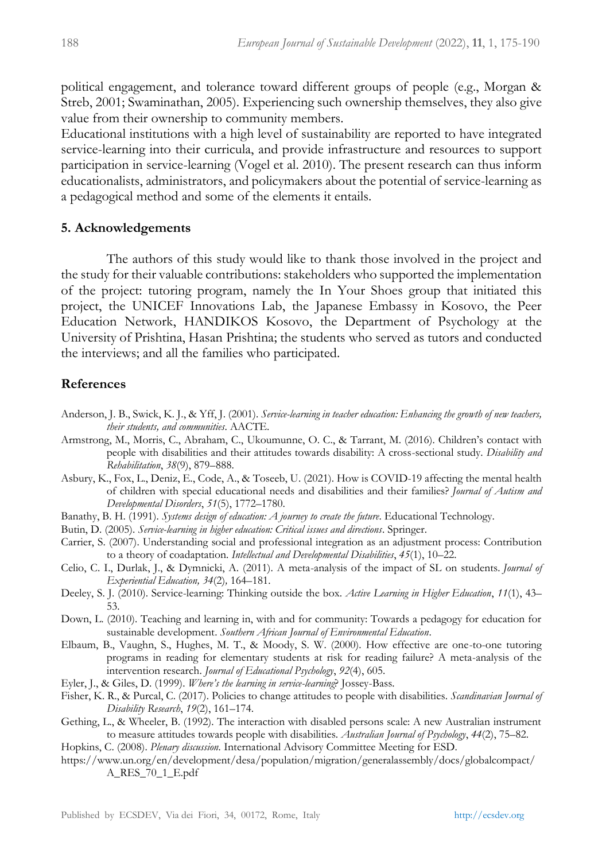political engagement, and tolerance toward different groups of people (e.g., Morgan & Streb, 2001; Swaminathan, 2005). Experiencing such ownership themselves, they also give value from their ownership to community members.

Educational institutions with a high level of sustainability are reported to have integrated service-learning into their curricula, and provide infrastructure and resources to support participation in service-learning (Vogel et al. 2010). The present research can thus inform educationalists, administrators, and policymakers about the potential of service-learning as a pedagogical method and some of the elements it entails.

#### **5. Acknowledgements**

The authors of this study would like to thank those involved in the project and the study for their valuable contributions: stakeholders who supported the implementation of the project: tutoring program, namely the In Your Shoes group that initiated this project, the UNICEF Innovations Lab, the Japanese Embassy in Kosovo, the Peer Education Network, HANDIKOS Kosovo, the Department of Psychology at the University of Prishtina, Hasan Prishtina; the students who served as tutors and conducted the interviews; and all the families who participated.

### **References**

- Anderson, J. B., Swick, K. J., & Yff, J. (2001). *Service-learning in teacher education: Enhancing the growth of new teachers, their students, and communities*. AACTE.
- Armstrong, M., Morris, C., Abraham, C., Ukoumunne, O. C., & Tarrant, M. (2016). Children's contact with people with disabilities and their attitudes towards disability: A cross-sectional study. *Disability and Rehabilitation*, *38*(9), 879–888.
- Asbury, K., Fox, L., Deniz, E., Code, A., & Toseeb, U. (2021). How is COVID-19 affecting the mental health of children with special educational needs and disabilities and their families? *Journal of Autism and Developmental Disorders*, *51*(5), 1772–1780.
- Banathy, B. H. (1991). *Systems design of education: A journey to create the future*. Educational Technology.
- Butin, D. (2005). *Service-learning in higher education: Critical issues and directions*. Springer.
- Carrier, S. (2007). Understanding social and professional integration as an adjustment process: Contribution to a theory of coadaptation. *Intellectual and Developmental Disabilities*, *45*(1), 10–22.
- Celio, C. I., Durlak, J., & Dymnicki, A. (2011). A meta-analysis of the impact of SL on students. *Journal of Experiential Education, 34*(2)*,* 164–181.
- Deeley, S. J. (2010). Service-learning: Thinking outside the box. *Active Learning in Higher Education*, *11*(1), 43– 53.
- Down, L. (2010). Teaching and learning in, with and for community: Towards a pedagogy for education for sustainable development. *Southern African Journal of Environmental Education*.
- Elbaum, B., Vaughn, S., Hughes, M. T., & Moody, S. W. (2000). How effective are one-to-one tutoring programs in reading for elementary students at risk for reading failure? A meta-analysis of the intervention research. *Journal of Educational Psychology*, *92*(4), 605.
- Eyler, J., & Giles, D. (1999). *Where's the learning in service-learning*? Jossey-Bass.
- Fisher, K. R., & Purcal, C. (2017). Policies to change attitudes to people with disabilities. *Scandinavian Journal of Disability Research*, *19*(2), 161–174.
- Gething, L., & Wheeler, B. (1992). The interaction with disabled persons scale: A new Australian instrument to measure attitudes towards people with disabilities. *Australian Journal of Psychology*, *44*(2), 75–82.
- Hopkins, C. (2008). *Plenary discussion.* International Advisory Committee Meeting for ESD.
- https://www.un.org/en/development/desa/population/migration/generalassembly/docs/globalcompact/ A\_RES\_70\_1\_E.pdf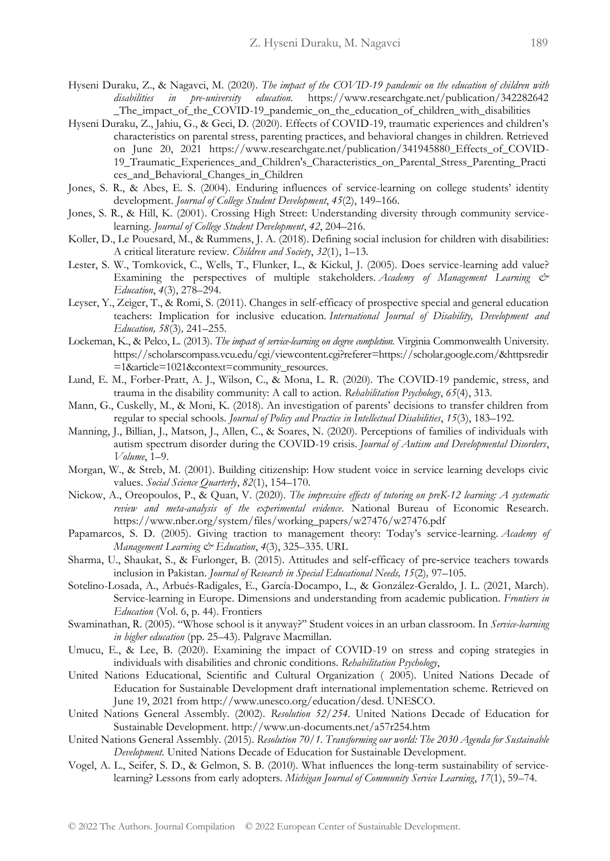- Hyseni Duraku, Z., & Nagavci, M. (2020). *The impact of the COVID-19 pandemic on the education of children with disabilities in pre-university education*. https://www.researchgate.net/publication/342282642 \_The\_impact\_of\_the\_COVID-19\_pandemic\_on\_the\_education\_of\_children\_with\_disabilities
- Hyseni Duraku, Z., Jahiu, G., & Geci, D. (2020). Effects of COVID-19, traumatic experiences and children's characteristics on parental stress, parenting practices, and behavioral changes in children. Retrieved on June 20, 2021 https://www.researchgate.net/publication/341945880\_Effects\_of\_COVID-19\_Traumatic\_Experiences\_and\_Children's\_Characteristics\_on\_Parental\_Stress\_Parenting\_Practi ces\_and\_Behavioral\_Changes\_in\_Children
- Jones, S. R., & Abes, E. S. (2004). Enduring influences of service-learning on college students' identity development. *Journal of College Student Development*, *45*(2), 149–166.
- Jones, S. R., & Hill, K. (2001). Crossing High Street: Understanding diversity through community servicelearning. *Journal of College Student Development*, *42*, 204–216.
- Koller, D., Le Pouesard, M., & Rummens, J. A. (2018). Defining social inclusion for children with disabilities: A critical literature review. *Children and Society*, *32*(1), 1–13.
- Lester, S. W., Tomkovick, C., Wells, T., Flunker, L., & Kickul, J. (2005). Does service-learning add value? Examining the perspectives of multiple stakeholders. *Academy of Management Learning & Education*, *4*(3), 278–294.
- Leyser, Y., Zeiger, T., & Romi, S. (2011). Changes in self-efficacy of prospective special and general education teachers: Implication for inclusive education. *International Journal of Disability, Development and Education, 58*(3)*,* 241–255.
- Lockeman, K., & Pelco, L. (2013). *The impact of service-learning on degree completion.* Virginia Commonwealth University. https://scholarscompass.vcu.edu/cgi/viewcontent.cgi?referer=https://scholar.google.com/&httpsredir =1&article=1021&context=community\_resources.
- Lund, E. M., Forber-Pratt, A. J., Wilson, C., & Mona, L. R. (2020). The COVID-19 pandemic, stress, and trauma in the disability community: A call to action. *Rehabilitation Psychology*, *65*(4), 313.
- Mann, G., Cuskelly, M., & Moni, K. (2018). An investigation of parents' decisions to transfer children from regular to special schools. *Journal of Policy and Practice in Intellectual Disabilities*, *15*(3), 183–192.
- Manning, J., Billian, J., Matson, J., Allen, C., & Soares, N. (2020). Perceptions of families of individuals with autism spectrum disorder during the COVID-19 crisis. *Journal of Autism and Developmental Disorders*, *Volume*, 1–9.
- Morgan, W., & Streb, M. (2001). Building citizenship: How student voice in service learning develops civic values. *Social Science Quarterly*, *82*(1), 154–170.
- Nickow, A., Oreopoulos, P., & Quan, V. (2020). *The impressive effects of tutoring on preK-12 learning: A systematic review and meta-analysis of the experimental evidence*. National Bureau of Economic Research. https://www.nber.org/system/files/working\_papers/w27476/w27476.pdf
- Papamarcos, S. D. (2005). Giving traction to management theory: Today's service-learning. *Academy of Management Learning & Education*, *4*(3), 325–335. URL
- Sharma, U., Shaukat, S., & Furlonger, B. (2015). Attitudes and self‐efficacy of pre‐service teachers towards inclusion in Pakistan. *Journal of Research in Special Educational Needs, 15*(2)*,* 97–105.
- Sotelino-Losada, A., Arbués-Radigales, E., García-Docampo, L., & González-Geraldo, J. L. (2021, March). Service-learning in Europe. Dimensions and understanding from academic publication. *Frontiers in Education* (Vol. 6, p. 44). Frontiers
- Swaminathan, R. (2005). "Whose school is it anyway?" Student voices in an urban classroom. In *Service-learning in higher education* (pp. 25–43). Palgrave Macmillan.
- Umucu, E., & Lee, B. (2020). Examining the impact of COVID-19 on stress and coping strategies in individuals with disabilities and chronic conditions. *Rehabilitation Psychology*,
- United Nations Educational, Scientific and Cultural Organization ( 2005). United Nations Decade of Education for Sustainable Development draft international implementation scheme. Retrieved on June 19, 2021 from http://www.unesco.org/education/desd. UNESCO.
- United Nations General Assembly. (2002). *Resolution 52/254.* United Nations Decade of Education for Sustainable Development. http://www.un-documents.net/a57r254.htm
- United Nations General Assembly. (2015). *Resolution 70/1. Transforming our world: The 2030 Agenda for Sustainable Development.* United Nations Decade of Education for Sustainable Development.
- Vogel, A. L., Seifer, S. D., & Gelmon, S. B. (2010). What influences the long-term sustainability of servicelearning? Lessons from early adopters. *Michigan Journal of Community Service Learning*, *17*(1), 59–74.